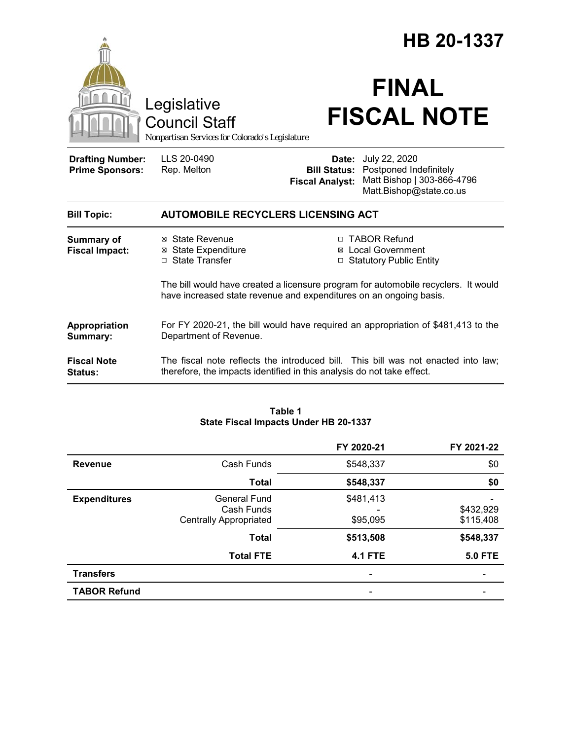|                                                   |                                                                                                                                                             |                        | HB 20-1337                                                                                                                 |
|---------------------------------------------------|-------------------------------------------------------------------------------------------------------------------------------------------------------------|------------------------|----------------------------------------------------------------------------------------------------------------------------|
|                                                   | Legislative<br><b>Council Staff</b><br>Nonpartisan Services for Colorado's Legislature                                                                      |                        | <b>FINAL</b><br><b>FISCAL NOTE</b>                                                                                         |
| <b>Drafting Number:</b><br><b>Prime Sponsors:</b> | LLS 20-0490<br>Rep. Melton                                                                                                                                  | <b>Fiscal Analyst:</b> | Date: July 22, 2020<br><b>Bill Status:</b> Postponed Indefinitely<br>Matt Bishop   303-866-4796<br>Matt.Bishop@state.co.us |
| <b>Bill Topic:</b>                                | <b>AUTOMOBILE RECYCLERS LICENSING ACT</b>                                                                                                                   |                        |                                                                                                                            |
| <b>Summary of</b><br><b>Fiscal Impact:</b>        | ⊠ State Revenue<br><b>State Expenditure</b><br>⊠<br>□ State Transfer                                                                                        |                        | □ TABOR Refund<br>⊠ Local Government<br><b>Statutory Public Entity</b>                                                     |
|                                                   | The bill would have created a licensure program for automobile recyclers. It would<br>have increased state revenue and expenditures on an ongoing basis.    |                        |                                                                                                                            |
| Appropriation<br>Summary:                         | For FY 2020-21, the bill would have required an appropriation of \$481,413 to the<br>Department of Revenue.                                                 |                        |                                                                                                                            |
| <b>Fiscal Note</b><br>Status:                     | The fiscal note reflects the introduced bill. This bill was not enacted into law;<br>therefore, the impacts identified in this analysis do not take effect. |                        |                                                                                                                            |

### **Table 1 State Fiscal Impacts Under HB 20-1337**

|                     |                                                                    | FY 2020-21            | FY 2021-22             |
|---------------------|--------------------------------------------------------------------|-----------------------|------------------------|
| <b>Revenue</b>      | Cash Funds                                                         | \$548,337             | \$0                    |
|                     | <b>Total</b>                                                       | \$548,337             | \$0                    |
| <b>Expenditures</b> | <b>General Fund</b><br>Cash Funds<br><b>Centrally Appropriated</b> | \$481,413<br>\$95,095 | \$432,929<br>\$115,408 |
|                     | <b>Total</b>                                                       | \$513,508             | \$548,337              |
|                     | <b>Total FTE</b>                                                   | <b>4.1 FTE</b>        | <b>5.0 FTE</b>         |
| <b>Transfers</b>    |                                                                    |                       |                        |
| <b>TABOR Refund</b> |                                                                    |                       |                        |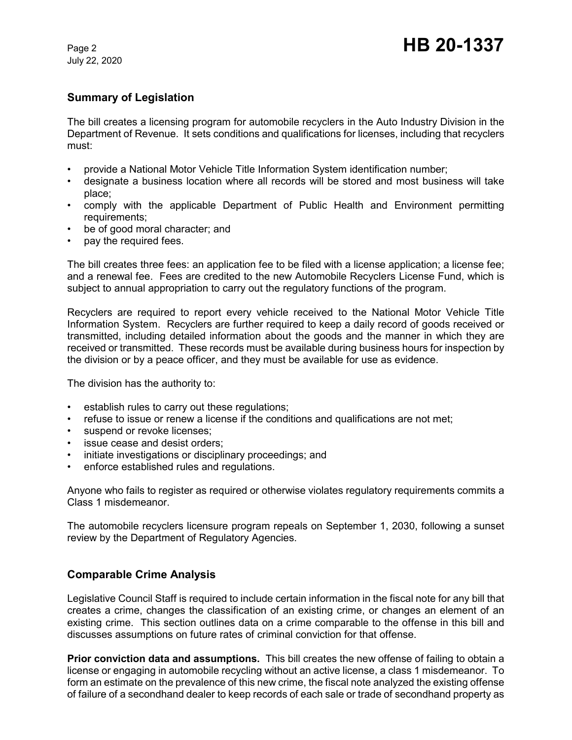# **Summary of Legislation**

The bill creates a licensing program for automobile recyclers in the Auto Industry Division in the Department of Revenue. It sets conditions and qualifications for licenses, including that recyclers must:

- provide a National Motor Vehicle Title Information System identification number;
- designate a business location where all records will be stored and most business will take place;
- comply with the applicable Department of Public Health and Environment permitting requirements;
- be of good moral character; and
- pay the required fees.

The bill creates three fees: an application fee to be filed with a license application; a license fee; and a renewal fee. Fees are credited to the new Automobile Recyclers License Fund, which is subject to annual appropriation to carry out the regulatory functions of the program.

Recyclers are required to report every vehicle received to the National Motor Vehicle Title Information System. Recyclers are further required to keep a daily record of goods received or transmitted, including detailed information about the goods and the manner in which they are received or transmitted. These records must be available during business hours for inspection by the division or by a peace officer, and they must be available for use as evidence.

The division has the authority to:

- establish rules to carry out these regulations;
- refuse to issue or renew a license if the conditions and qualifications are not met;
- suspend or revoke licenses;
- issue cease and desist orders;
- initiate investigations or disciplinary proceedings; and
- enforce established rules and regulations.

Anyone who fails to register as required or otherwise violates regulatory requirements commits a Class 1 misdemeanor.

The automobile recyclers licensure program repeals on September 1, 2030, following a sunset review by the Department of Regulatory Agencies.

## **Comparable Crime Analysis**

Legislative Council Staff is required to include certain information in the fiscal note for any bill that creates a crime, changes the classification of an existing crime, or changes an element of an existing crime. This section outlines data on a crime comparable to the offense in this bill and discusses assumptions on future rates of criminal conviction for that offense.

**Prior conviction data and assumptions.** This bill creates the new offense of failing to obtain a license or engaging in automobile recycling without an active license, a class 1 misdemeanor. To form an estimate on the prevalence of this new crime, the fiscal note analyzed the existing offense of failure of a secondhand dealer to keep records of each sale or trade of secondhand property as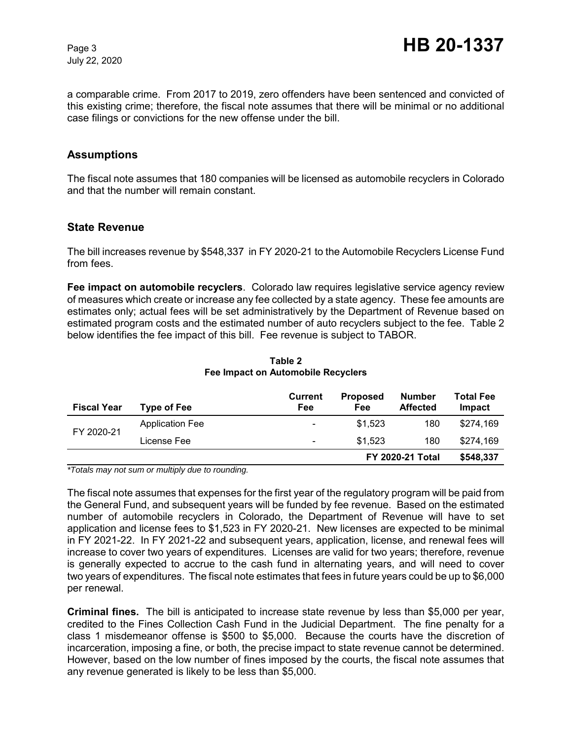a comparable crime. From 2017 to 2019, zero offenders have been sentenced and convicted of this existing crime; therefore, the fiscal note assumes that there will be minimal or no additional case filings or convictions for the new offense under the bill.

## **Assumptions**

The fiscal note assumes that 180 companies will be licensed as automobile recyclers in Colorado and that the number will remain constant.

## **State Revenue**

The bill increases revenue by \$548,337 in FY 2020-21 to the Automobile Recyclers License Fund from fees.

**Fee impact on automobile recyclers**. Colorado law requires legislative service agency review of measures which create or increase any fee collected by a state agency. These fee amounts are estimates only; actual fees will be set administratively by the Department of Revenue based on estimated program costs and the estimated number of auto recyclers subject to the fee. Table 2 below identifies the fee impact of this bill. Fee revenue is subject to TABOR.

| <b>Fiscal Year</b> | <b>Type of Fee</b>     | <b>Current</b><br>Fee    | <b>Proposed</b><br>Fee  | Number<br><b>Affected</b> | Total Fee<br>Impact |
|--------------------|------------------------|--------------------------|-------------------------|---------------------------|---------------------|
| FY 2020-21         | <b>Application Fee</b> | $\overline{\phantom{0}}$ | \$1.523                 | 180                       | \$274.169           |
|                    | License Fee            | $\overline{\phantom{0}}$ | \$1.523                 | 180                       | \$274.169           |
|                    |                        |                          | <b>FY 2020-21 Total</b> |                           | \$548,337           |

### **Table 2 Fee Impact on Automobile Recyclers**

*\*Totals may not sum or multiply due to rounding.*

The fiscal note assumes that expenses for the first year of the regulatory program will be paid from the General Fund, and subsequent years will be funded by fee revenue. Based on the estimated number of automobile recyclers in Colorado, the Department of Revenue will have to set application and license fees to \$1,523 in FY 2020-21. New licenses are expected to be minimal in FY 2021-22. In FY 2021-22 and subsequent years, application, license, and renewal fees will increase to cover two years of expenditures. Licenses are valid for two years; therefore, revenue is generally expected to accrue to the cash fund in alternating years, and will need to cover two years of expenditures. The fiscal note estimates that fees in future years could be up to \$6,000 per renewal.

**Criminal fines.** The bill is anticipated to increase state revenue by less than \$5,000 per year, credited to the Fines Collection Cash Fund in the Judicial Department. The fine penalty for a class 1 misdemeanor offense is \$500 to \$5,000. Because the courts have the discretion of incarceration, imposing a fine, or both, the precise impact to state revenue cannot be determined. However, based on the low number of fines imposed by the courts, the fiscal note assumes that any revenue generated is likely to be less than \$5,000.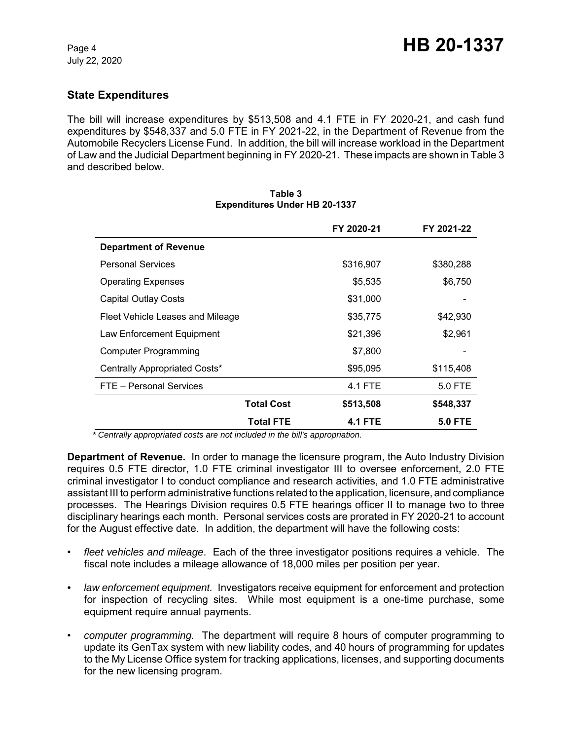# **State Expenditures**

The bill will increase expenditures by \$513,508 and 4.1 FTE in FY 2020-21, and cash fund expenditures by \$548,337 and 5.0 FTE in FY 2021-22, in the Department of Revenue from the Automobile Recyclers License Fund. In addition, the bill will increase workload in the Department of Law and the Judicial Department beginning in FY 2020-21. These impacts are shown in Table 3 and described below.

|                                  |                   | FY 2020-21     | FY 2021-22     |
|----------------------------------|-------------------|----------------|----------------|
| <b>Department of Revenue</b>     |                   |                |                |
| <b>Personal Services</b>         |                   | \$316,907      | \$380,288      |
| <b>Operating Expenses</b>        |                   | \$5,535        | \$6,750        |
| <b>Capital Outlay Costs</b>      |                   | \$31,000       |                |
| Fleet Vehicle Leases and Mileage |                   | \$35,775       | \$42,930       |
| Law Enforcement Equipment        |                   | \$21,396       | \$2,961        |
| Computer Programming             |                   | \$7,800        |                |
| Centrally Appropriated Costs*    |                   | \$95,095       | \$115,408      |
| FTE - Personal Services          |                   | 4.1 FTE        | 5.0 FTE        |
|                                  | <b>Total Cost</b> | \$513,508      | \$548,337      |
|                                  | <b>Total FTE</b>  | <b>4.1 FTE</b> | <b>5.0 FTE</b> |

#### **Table 3 Expenditures Under HB 20-1337**

 *\* Centrally appropriated costs are not included in the bill's appropriation.*

**Department of Revenue.** In order to manage the licensure program, the Auto Industry Division requires 0.5 FTE director, 1.0 FTE criminal investigator III to oversee enforcement, 2.0 FTE criminal investigator I to conduct compliance and research activities, and 1.0 FTE administrative assistant III to perform administrative functions related to the application, licensure, and compliance processes. The Hearings Division requires 0.5 FTE hearings officer II to manage two to three disciplinary hearings each month. Personal services costs are prorated in FY 2020-21 to account for the August effective date. In addition, the department will have the following costs:

- *fleet vehicles and mileage*. Each of the three investigator positions requires a vehicle. The fiscal note includes a mileage allowance of 18,000 miles per position per year.
- *law enforcement equipment.* Investigators receive equipment for enforcement and protection for inspection of recycling sites. While most equipment is a one-time purchase, some equipment require annual payments.
- *computer programming.* The department will require 8 hours of computer programming to update its GenTax system with new liability codes, and 40 hours of programming for updates to the My License Office system for tracking applications, licenses, and supporting documents for the new licensing program.